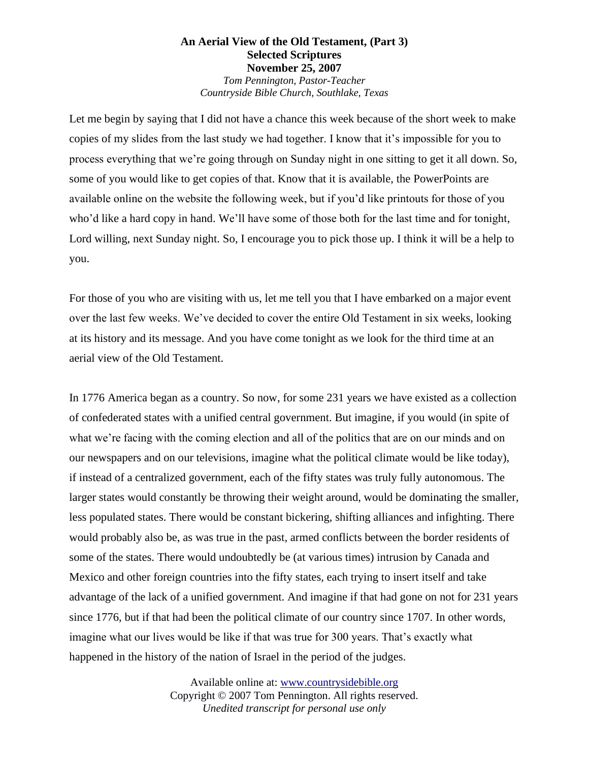## **An Aerial View of the Old Testament, (Part 3) Selected Scriptures November 25, 2007** *Tom Pennington, Pastor-Teacher*

*Countryside Bible Church, Southlake, Texas*

Let me begin by saying that I did not have a chance this week because of the short week to make copies of my slides from the last study we had together. I know that it's impossible for you to process everything that we're going through on Sunday night in one sitting to get it all down. So, some of you would like to get copies of that. Know that it is available, the PowerPoints are available online on the website the following week, but if you'd like printouts for those of you who'd like a hard copy in hand. We'll have some of those both for the last time and for tonight, Lord willing, next Sunday night. So, I encourage you to pick those up. I think it will be a help to you.

For those of you who are visiting with us, let me tell you that I have embarked on a major event over the last few weeks. We've decided to cover the entire Old Testament in six weeks, looking at its history and its message. And you have come tonight as we look for the third time at an aerial view of the Old Testament.

In 1776 America began as a country. So now, for some 231 years we have existed as a collection of confederated states with a unified central government. But imagine, if you would (in spite of what we're facing with the coming election and all of the politics that are on our minds and on our newspapers and on our televisions, imagine what the political climate would be like today), if instead of a centralized government, each of the fifty states was truly fully autonomous. The larger states would constantly be throwing their weight around, would be dominating the smaller, less populated states. There would be constant bickering, shifting alliances and infighting. There would probably also be, as was true in the past, armed conflicts between the border residents of some of the states. There would undoubtedly be (at various times) intrusion by Canada and Mexico and other foreign countries into the fifty states, each trying to insert itself and take advantage of the lack of a unified government. And imagine if that had gone on not for 231 years since 1776, but if that had been the political climate of our country since 1707. In other words, imagine what our lives would be like if that was true for 300 years. That's exactly what happened in the history of the nation of Israel in the period of the judges.

> Available online at: www.countrysidebible.org Copyright © 2007 Tom Pennington. All rights reserved. *Unedited transcript for personal use only*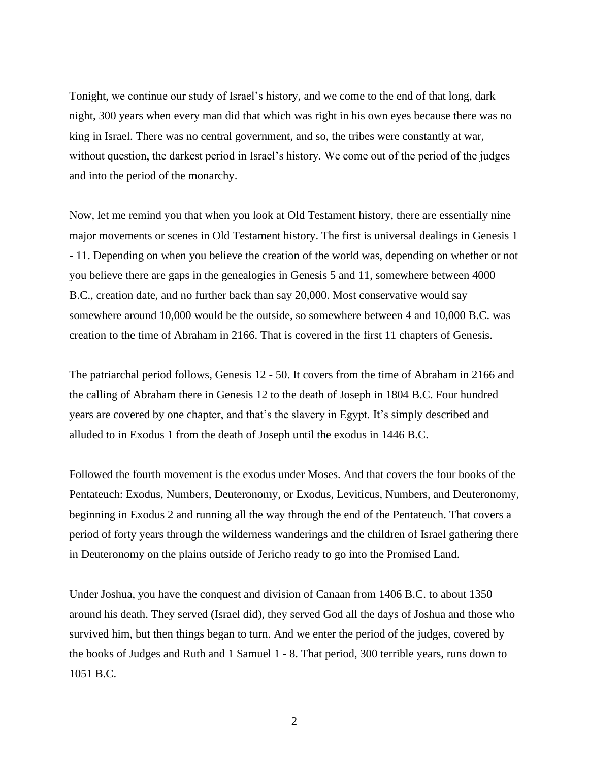Tonight, we continue our study of Israel's history, and we come to the end of that long, dark night, 300 years when every man did that which was right in his own eyes because there was no king in Israel. There was no central government, and so, the tribes were constantly at war, without question, the darkest period in Israel's history. We come out of the period of the judges and into the period of the monarchy.

Now, let me remind you that when you look at Old Testament history, there are essentially nine major movements or scenes in Old Testament history. The first is universal dealings in Genesis 1 - 11. Depending on when you believe the creation of the world was, depending on whether or not you believe there are gaps in the genealogies in Genesis 5 and 11, somewhere between 4000 B.C., creation date, and no further back than say 20,000. Most conservative would say somewhere around 10,000 would be the outside, so somewhere between 4 and 10,000 B.C. was creation to the time of Abraham in 2166. That is covered in the first 11 chapters of Genesis.

The patriarchal period follows, Genesis 12 - 50. It covers from the time of Abraham in 2166 and the calling of Abraham there in Genesis 12 to the death of Joseph in 1804 B.C. Four hundred years are covered by one chapter, and that's the slavery in Egypt. It's simply described and alluded to in Exodus 1 from the death of Joseph until the exodus in 1446 B.C.

Followed the fourth movement is the exodus under Moses. And that covers the four books of the Pentateuch: Exodus, Numbers, Deuteronomy, or Exodus, Leviticus, Numbers, and Deuteronomy, beginning in Exodus 2 and running all the way through the end of the Pentateuch. That covers a period of forty years through the wilderness wanderings and the children of Israel gathering there in Deuteronomy on the plains outside of Jericho ready to go into the Promised Land.

Under Joshua, you have the conquest and division of Canaan from 1406 B.C. to about 1350 around his death. They served (Israel did), they served God all the days of Joshua and those who survived him, but then things began to turn. And we enter the period of the judges, covered by the books of Judges and Ruth and 1 Samuel 1 - 8. That period, 300 terrible years, runs down to 1051 B.C.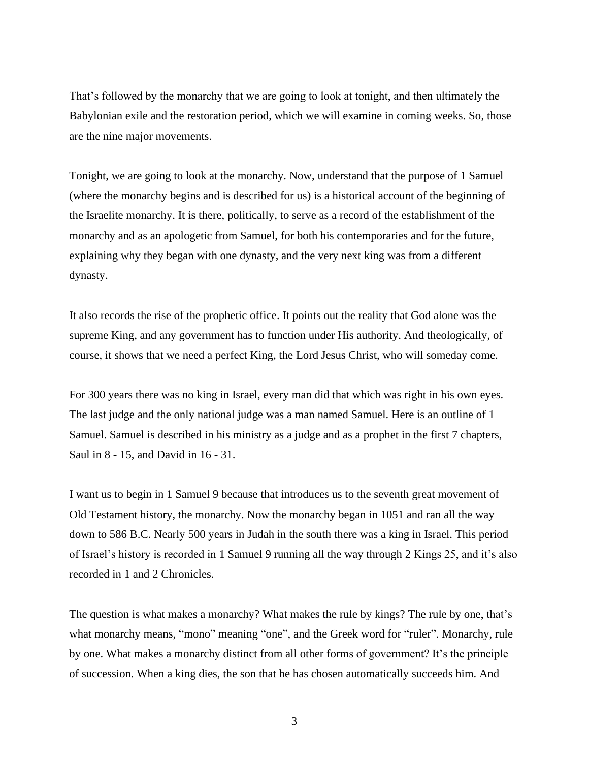That's followed by the monarchy that we are going to look at tonight, and then ultimately the Babylonian exile and the restoration period, which we will examine in coming weeks. So, those are the nine major movements.

Tonight, we are going to look at the monarchy. Now, understand that the purpose of 1 Samuel (where the monarchy begins and is described for us) is a historical account of the beginning of the Israelite monarchy. It is there, politically, to serve as a record of the establishment of the monarchy and as an apologetic from Samuel, for both his contemporaries and for the future, explaining why they began with one dynasty, and the very next king was from a different dynasty.

It also records the rise of the prophetic office. It points out the reality that God alone was the supreme King, and any government has to function under His authority. And theologically, of course, it shows that we need a perfect King, the Lord Jesus Christ, who will someday come.

For 300 years there was no king in Israel, every man did that which was right in his own eyes. The last judge and the only national judge was a man named Samuel. Here is an outline of 1 Samuel. Samuel is described in his ministry as a judge and as a prophet in the first 7 chapters, Saul in 8 - 15, and David in 16 - 31.

I want us to begin in 1 Samuel 9 because that introduces us to the seventh great movement of Old Testament history, the monarchy. Now the monarchy began in 1051 and ran all the way down to 586 B.C. Nearly 500 years in Judah in the south there was a king in Israel. This period of Israel's history is recorded in 1 Samuel 9 running all the way through 2 Kings 25, and it's also recorded in 1 and 2 Chronicles.

The question is what makes a monarchy? What makes the rule by kings? The rule by one, that's what monarchy means, "mono" meaning "one", and the Greek word for "ruler". Monarchy, rule by one. What makes a monarchy distinct from all other forms of government? It's the principle of succession. When a king dies, the son that he has chosen automatically succeeds him. And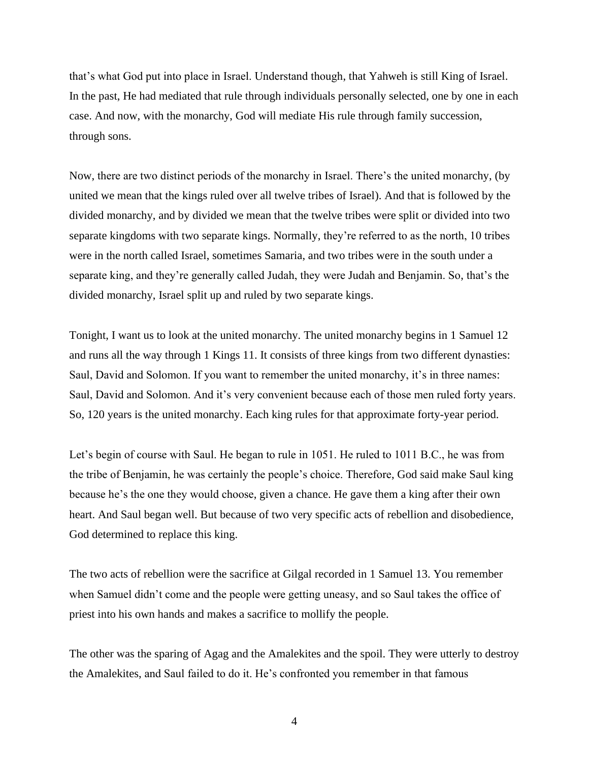that's what God put into place in Israel. Understand though, that Yahweh is still King of Israel. In the past, He had mediated that rule through individuals personally selected, one by one in each case. And now, with the monarchy, God will mediate His rule through family succession, through sons.

Now, there are two distinct periods of the monarchy in Israel. There's the united monarchy, (by united we mean that the kings ruled over all twelve tribes of Israel). And that is followed by the divided monarchy, and by divided we mean that the twelve tribes were split or divided into two separate kingdoms with two separate kings. Normally, they're referred to as the north, 10 tribes were in the north called Israel, sometimes Samaria, and two tribes were in the south under a separate king, and they're generally called Judah, they were Judah and Benjamin. So, that's the divided monarchy, Israel split up and ruled by two separate kings.

Tonight, I want us to look at the united monarchy. The united monarchy begins in 1 Samuel 12 and runs all the way through 1 Kings 11. It consists of three kings from two different dynasties: Saul, David and Solomon. If you want to remember the united monarchy, it's in three names: Saul, David and Solomon. And it's very convenient because each of those men ruled forty years. So, 120 years is the united monarchy. Each king rules for that approximate forty-year period.

Let's begin of course with Saul. He began to rule in 1051. He ruled to 1011 B.C., he was from the tribe of Benjamin, he was certainly the people's choice. Therefore, God said make Saul king because he's the one they would choose, given a chance. He gave them a king after their own heart. And Saul began well. But because of two very specific acts of rebellion and disobedience, God determined to replace this king.

The two acts of rebellion were the sacrifice at Gilgal recorded in 1 Samuel 13. You remember when Samuel didn't come and the people were getting uneasy, and so Saul takes the office of priest into his own hands and makes a sacrifice to mollify the people.

The other was the sparing of Agag and the Amalekites and the spoil. They were utterly to destroy the Amalekites, and Saul failed to do it. He's confronted you remember in that famous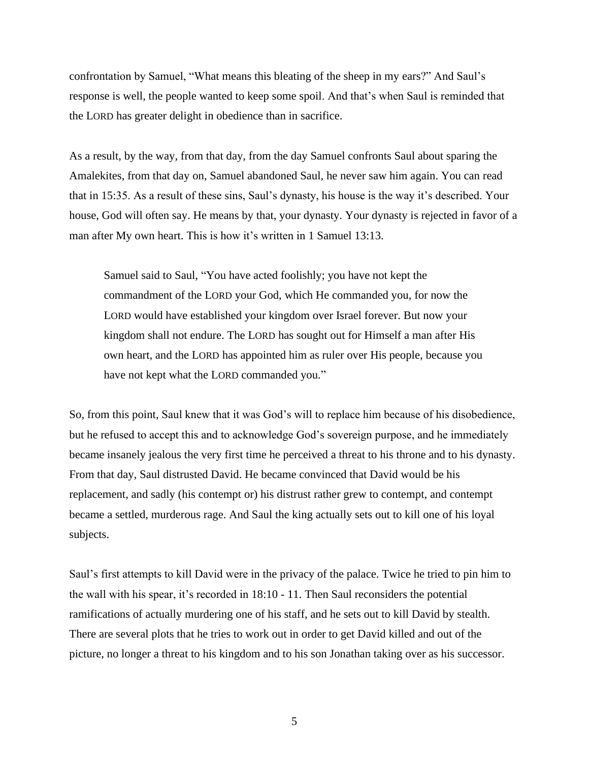confrontation by Samuel, "What means this bleating of the sheep in my ears?" And Saul's response is well, the people wanted to keep some spoil. And that's when Saul is reminded that the LORD has greater delight in obedience than in sacrifice.

As a result, by the way, from that day, from the day Samuel confronts Saul about sparing the Amalekites, from that day on, Samuel abandoned Saul, he never saw him again. You can read that in 15:35. As a result of these sins, Saul's dynasty, his house is the way it's described. Your house, God will often say. He means by that, your dynasty. Your dynasty is rejected in favor of a man after My own heart. This is how it's written in 1 Samuel 13:13.

Samuel said to Saul, "You have acted foolishly; you have not kept the commandment of the LORD your God, which He commanded you, for now the LORD would have established your kingdom over Israel forever. But now your kingdom shall not endure. The LORD has sought out for Himself a man after His own heart, and the LORD has appointed him as ruler over His people, because you have not kept what the LORD commanded you."

So, from this point, Saul knew that it was God's will to replace him because of his disobedience, but he refused to accept this and to acknowledge God's sovereign purpose, and he immediately became insanely jealous the very first time he perceived a threat to his throne and to his dynasty. From that day, Saul distrusted David. He became convinced that David would be his replacement, and sadly (his contempt or) his distrust rather grew to contempt, and contempt became a settled, murderous rage. And Saul the king actually sets out to kill one of his loyal subjects.

Saul's first attempts to kill David were in the privacy of the palace. Twice he tried to pin him to the wall with his spear, it's recorded in 18:10 - 11. Then Saul reconsiders the potential ramifications of actually murdering one of his staff, and he sets out to kill David by stealth. There are several plots that he tries to work out in order to get David killed and out of the picture, no longer a threat to his kingdom and to his son Jonathan taking over as his successor.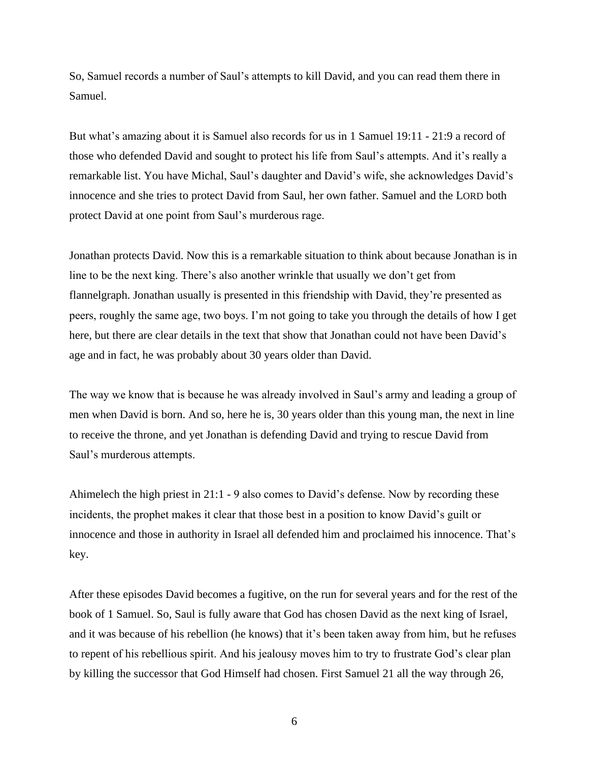So, Samuel records a number of Saul's attempts to kill David, and you can read them there in Samuel.

But what's amazing about it is Samuel also records for us in 1 Samuel 19:11 - 21:9 a record of those who defended David and sought to protect his life from Saul's attempts. And it's really a remarkable list. You have Michal, Saul's daughter and David's wife, she acknowledges David's innocence and she tries to protect David from Saul, her own father. Samuel and the LORD both protect David at one point from Saul's murderous rage.

Jonathan protects David. Now this is a remarkable situation to think about because Jonathan is in line to be the next king. There's also another wrinkle that usually we don't get from flannelgraph. Jonathan usually is presented in this friendship with David, they're presented as peers, roughly the same age, two boys. I'm not going to take you through the details of how I get here, but there are clear details in the text that show that Jonathan could not have been David's age and in fact, he was probably about 30 years older than David.

The way we know that is because he was already involved in Saul's army and leading a group of men when David is born. And so, here he is, 30 years older than this young man, the next in line to receive the throne, and yet Jonathan is defending David and trying to rescue David from Saul's murderous attempts.

Ahimelech the high priest in 21:1 - 9 also comes to David's defense. Now by recording these incidents, the prophet makes it clear that those best in a position to know David's guilt or innocence and those in authority in Israel all defended him and proclaimed his innocence. That's key.

After these episodes David becomes a fugitive, on the run for several years and for the rest of the book of 1 Samuel. So, Saul is fully aware that God has chosen David as the next king of Israel, and it was because of his rebellion (he knows) that it's been taken away from him, but he refuses to repent of his rebellious spirit. And his jealousy moves him to try to frustrate God's clear plan by killing the successor that God Himself had chosen. First Samuel 21 all the way through 26,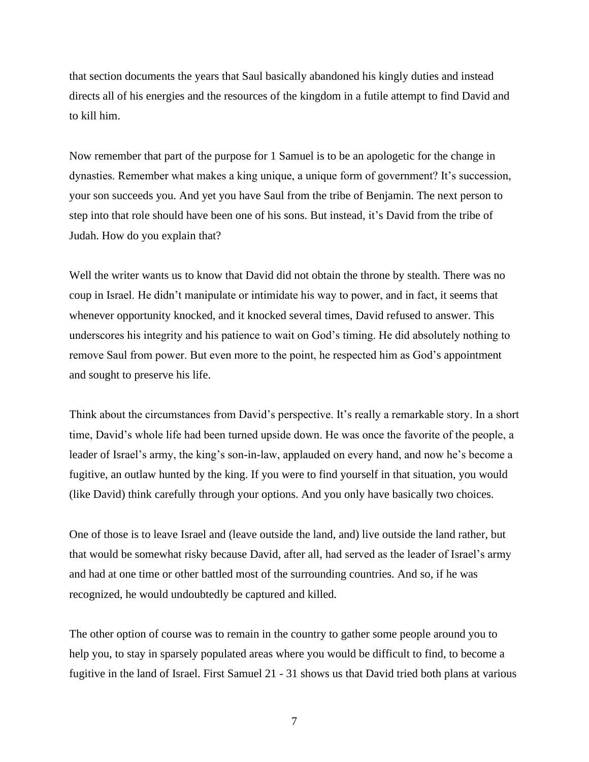that section documents the years that Saul basically abandoned his kingly duties and instead directs all of his energies and the resources of the kingdom in a futile attempt to find David and to kill him.

Now remember that part of the purpose for 1 Samuel is to be an apologetic for the change in dynasties. Remember what makes a king unique, a unique form of government? It's succession, your son succeeds you. And yet you have Saul from the tribe of Benjamin. The next person to step into that role should have been one of his sons. But instead, it's David from the tribe of Judah. How do you explain that?

Well the writer wants us to know that David did not obtain the throne by stealth. There was no coup in Israel. He didn't manipulate or intimidate his way to power, and in fact, it seems that whenever opportunity knocked, and it knocked several times, David refused to answer. This underscores his integrity and his patience to wait on God's timing. He did absolutely nothing to remove Saul from power. But even more to the point, he respected him as God's appointment and sought to preserve his life.

Think about the circumstances from David's perspective. It's really a remarkable story. In a short time, David's whole life had been turned upside down. He was once the favorite of the people, a leader of Israel's army, the king's son-in-law, applauded on every hand, and now he's become a fugitive, an outlaw hunted by the king. If you were to find yourself in that situation, you would (like David) think carefully through your options. And you only have basically two choices.

One of those is to leave Israel and (leave outside the land, and) live outside the land rather, but that would be somewhat risky because David, after all, had served as the leader of Israel's army and had at one time or other battled most of the surrounding countries. And so, if he was recognized, he would undoubtedly be captured and killed.

The other option of course was to remain in the country to gather some people around you to help you, to stay in sparsely populated areas where you would be difficult to find, to become a fugitive in the land of Israel. First Samuel 21 - 31 shows us that David tried both plans at various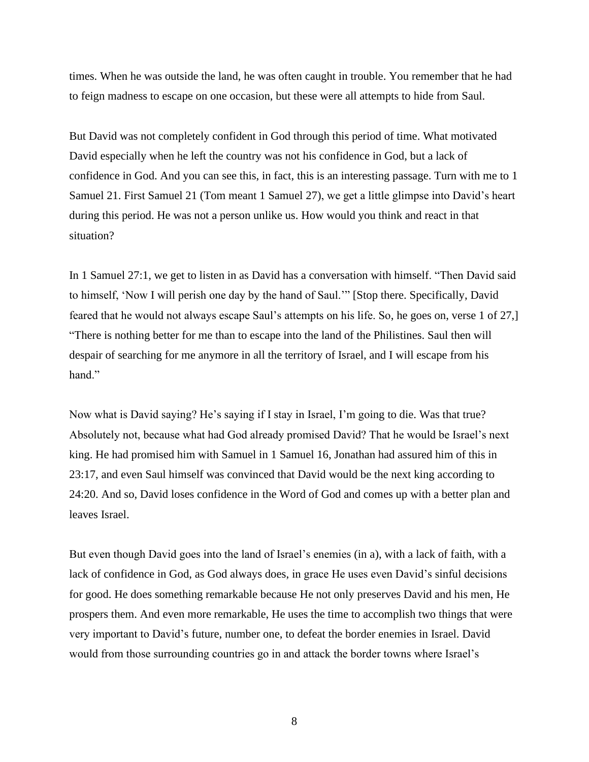times. When he was outside the land, he was often caught in trouble. You remember that he had to feign madness to escape on one occasion, but these were all attempts to hide from Saul.

But David was not completely confident in God through this period of time. What motivated David especially when he left the country was not his confidence in God, but a lack of confidence in God. And you can see this, in fact, this is an interesting passage. Turn with me to 1 Samuel 21. First Samuel 21 (Tom meant 1 Samuel 27), we get a little glimpse into David's heart during this period. He was not a person unlike us. How would you think and react in that situation?

In 1 Samuel 27:1, we get to listen in as David has a conversation with himself. "Then David said to himself, 'Now I will perish one day by the hand of Saul.'" [Stop there. Specifically, David feared that he would not always escape Saul's attempts on his life. So, he goes on, verse 1 of 27,] "There is nothing better for me than to escape into the land of the Philistines. Saul then will despair of searching for me anymore in all the territory of Israel, and I will escape from his hand."

Now what is David saying? He's saying if I stay in Israel, I'm going to die. Was that true? Absolutely not, because what had God already promised David? That he would be Israel's next king. He had promised him with Samuel in 1 Samuel 16, Jonathan had assured him of this in 23:17, and even Saul himself was convinced that David would be the next king according to 24:20. And so, David loses confidence in the Word of God and comes up with a better plan and leaves Israel.

But even though David goes into the land of Israel's enemies (in a), with a lack of faith, with a lack of confidence in God, as God always does, in grace He uses even David's sinful decisions for good. He does something remarkable because He not only preserves David and his men, He prospers them. And even more remarkable, He uses the time to accomplish two things that were very important to David's future, number one, to defeat the border enemies in Israel. David would from those surrounding countries go in and attack the border towns where Israel's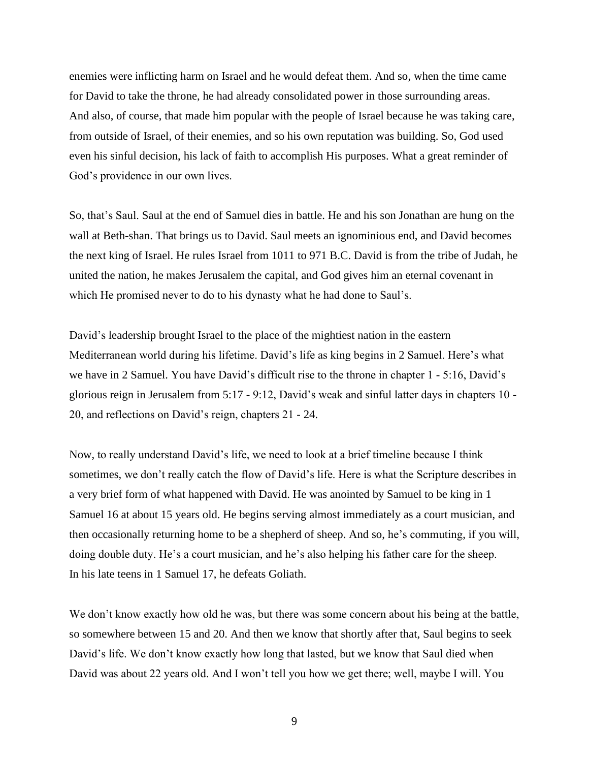enemies were inflicting harm on Israel and he would defeat them. And so, when the time came for David to take the throne, he had already consolidated power in those surrounding areas. And also, of course, that made him popular with the people of Israel because he was taking care, from outside of Israel, of their enemies, and so his own reputation was building. So, God used even his sinful decision, his lack of faith to accomplish His purposes. What a great reminder of God's providence in our own lives.

So, that's Saul. Saul at the end of Samuel dies in battle. He and his son Jonathan are hung on the wall at Beth-shan. That brings us to David. Saul meets an ignominious end, and David becomes the next king of Israel. He rules Israel from 1011 to 971 B.C. David is from the tribe of Judah, he united the nation, he makes Jerusalem the capital, and God gives him an eternal covenant in which He promised never to do to his dynasty what he had done to Saul's.

David's leadership brought Israel to the place of the mightiest nation in the eastern Mediterranean world during his lifetime. David's life as king begins in 2 Samuel. Here's what we have in 2 Samuel. You have David's difficult rise to the throne in chapter 1 - 5:16, David's glorious reign in Jerusalem from 5:17 - 9:12, David's weak and sinful latter days in chapters 10 - 20, and reflections on David's reign, chapters 21 - 24.

Now, to really understand David's life, we need to look at a brief timeline because I think sometimes, we don't really catch the flow of David's life. Here is what the Scripture describes in a very brief form of what happened with David. He was anointed by Samuel to be king in 1 Samuel 16 at about 15 years old. He begins serving almost immediately as a court musician, and then occasionally returning home to be a shepherd of sheep. And so, he's commuting, if you will, doing double duty. He's a court musician, and he's also helping his father care for the sheep. In his late teens in 1 Samuel 17, he defeats Goliath.

We don't know exactly how old he was, but there was some concern about his being at the battle, so somewhere between 15 and 20. And then we know that shortly after that, Saul begins to seek David's life. We don't know exactly how long that lasted, but we know that Saul died when David was about 22 years old. And I won't tell you how we get there; well, maybe I will. You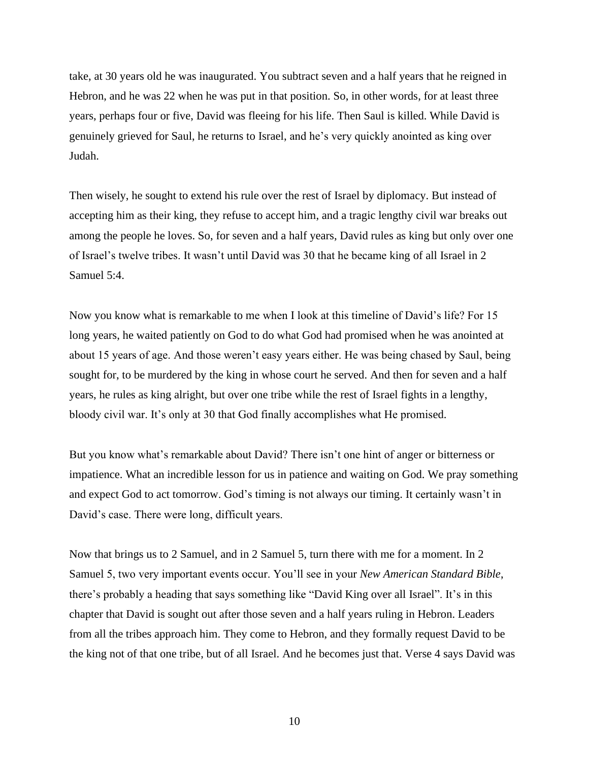take, at 30 years old he was inaugurated. You subtract seven and a half years that he reigned in Hebron, and he was 22 when he was put in that position. So, in other words, for at least three years, perhaps four or five, David was fleeing for his life. Then Saul is killed. While David is genuinely grieved for Saul, he returns to Israel, and he's very quickly anointed as king over Judah.

Then wisely, he sought to extend his rule over the rest of Israel by diplomacy. But instead of accepting him as their king, they refuse to accept him, and a tragic lengthy civil war breaks out among the people he loves. So, for seven and a half years, David rules as king but only over one of Israel's twelve tribes. It wasn't until David was 30 that he became king of all Israel in 2 Samuel 5:4.

Now you know what is remarkable to me when I look at this timeline of David's life? For 15 long years, he waited patiently on God to do what God had promised when he was anointed at about 15 years of age. And those weren't easy years either. He was being chased by Saul, being sought for, to be murdered by the king in whose court he served. And then for seven and a half years, he rules as king alright, but over one tribe while the rest of Israel fights in a lengthy, bloody civil war. It's only at 30 that God finally accomplishes what He promised.

But you know what's remarkable about David? There isn't one hint of anger or bitterness or impatience. What an incredible lesson for us in patience and waiting on God. We pray something and expect God to act tomorrow. God's timing is not always our timing. It certainly wasn't in David's case. There were long, difficult years.

Now that brings us to 2 Samuel, and in 2 Samuel 5, turn there with me for a moment. In 2 Samuel 5, two very important events occur. You'll see in your *New American Standard Bible*, there's probably a heading that says something like "David King over all Israel". It's in this chapter that David is sought out after those seven and a half years ruling in Hebron. Leaders from all the tribes approach him. They come to Hebron, and they formally request David to be the king not of that one tribe, but of all Israel. And he becomes just that. Verse 4 says David was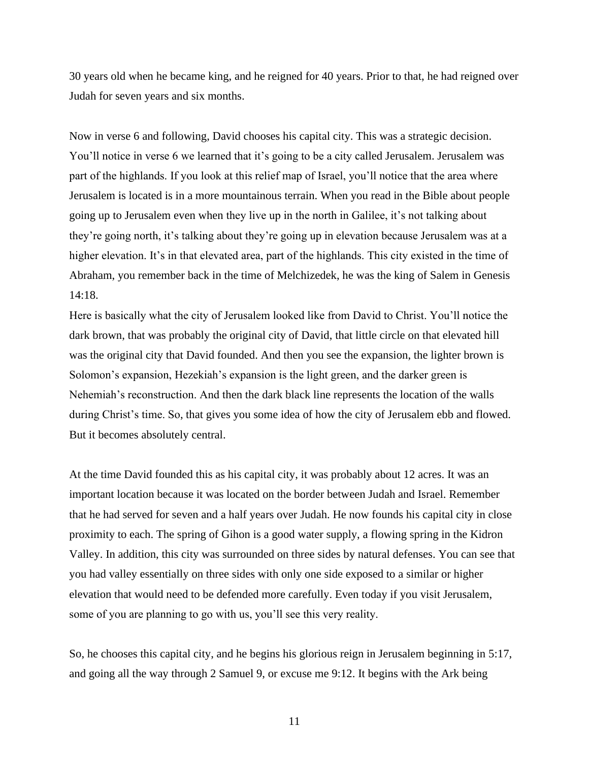30 years old when he became king, and he reigned for 40 years. Prior to that, he had reigned over Judah for seven years and six months.

Now in verse 6 and following, David chooses his capital city. This was a strategic decision. You'll notice in verse 6 we learned that it's going to be a city called Jerusalem. Jerusalem was part of the highlands. If you look at this relief map of Israel, you'll notice that the area where Jerusalem is located is in a more mountainous terrain. When you read in the Bible about people going up to Jerusalem even when they live up in the north in Galilee, it's not talking about they're going north, it's talking about they're going up in elevation because Jerusalem was at a higher elevation. It's in that elevated area, part of the highlands. This city existed in the time of Abraham, you remember back in the time of Melchizedek, he was the king of Salem in Genesis 14:18.

Here is basically what the city of Jerusalem looked like from David to Christ. You'll notice the dark brown, that was probably the original city of David, that little circle on that elevated hill was the original city that David founded. And then you see the expansion, the lighter brown is Solomon's expansion, Hezekiah's expansion is the light green, and the darker green is Nehemiah's reconstruction. And then the dark black line represents the location of the walls during Christ's time. So, that gives you some idea of how the city of Jerusalem ebb and flowed. But it becomes absolutely central.

At the time David founded this as his capital city, it was probably about 12 acres. It was an important location because it was located on the border between Judah and Israel. Remember that he had served for seven and a half years over Judah. He now founds his capital city in close proximity to each. The spring of Gihon is a good water supply, a flowing spring in the Kidron Valley. In addition, this city was surrounded on three sides by natural defenses. You can see that you had valley essentially on three sides with only one side exposed to a similar or higher elevation that would need to be defended more carefully. Even today if you visit Jerusalem, some of you are planning to go with us, you'll see this very reality.

So, he chooses this capital city, and he begins his glorious reign in Jerusalem beginning in 5:17, and going all the way through 2 Samuel 9, or excuse me 9:12. It begins with the Ark being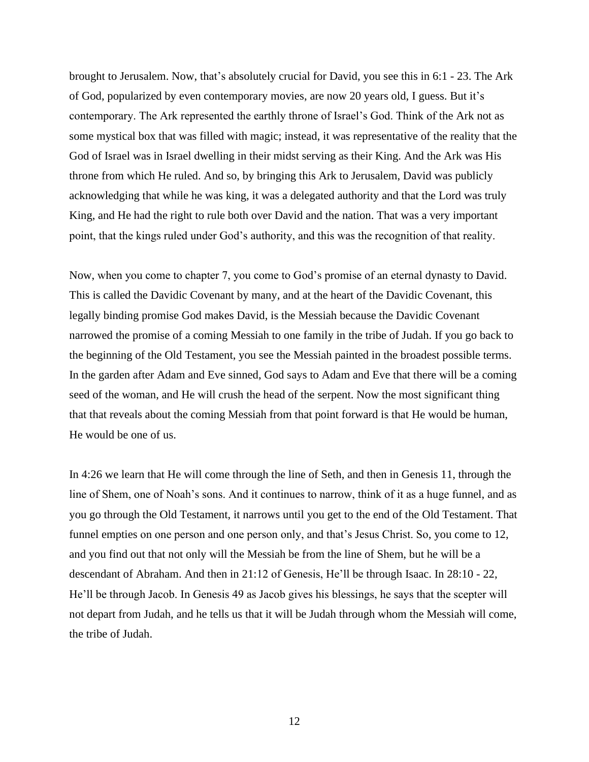brought to Jerusalem. Now, that's absolutely crucial for David, you see this in 6:1 - 23. The Ark of God, popularized by even contemporary movies, are now 20 years old, I guess. But it's contemporary. The Ark represented the earthly throne of Israel's God. Think of the Ark not as some mystical box that was filled with magic; instead, it was representative of the reality that the God of Israel was in Israel dwelling in their midst serving as their King. And the Ark was His throne from which He ruled. And so, by bringing this Ark to Jerusalem, David was publicly acknowledging that while he was king, it was a delegated authority and that the Lord was truly King, and He had the right to rule both over David and the nation. That was a very important point, that the kings ruled under God's authority, and this was the recognition of that reality.

Now, when you come to chapter 7, you come to God's promise of an eternal dynasty to David. This is called the Davidic Covenant by many, and at the heart of the Davidic Covenant, this legally binding promise God makes David, is the Messiah because the Davidic Covenant narrowed the promise of a coming Messiah to one family in the tribe of Judah. If you go back to the beginning of the Old Testament, you see the Messiah painted in the broadest possible terms. In the garden after Adam and Eve sinned, God says to Adam and Eve that there will be a coming seed of the woman, and He will crush the head of the serpent. Now the most significant thing that that reveals about the coming Messiah from that point forward is that He would be human, He would be one of us.

In 4:26 we learn that He will come through the line of Seth, and then in Genesis 11, through the line of Shem, one of Noah's sons. And it continues to narrow, think of it as a huge funnel, and as you go through the Old Testament, it narrows until you get to the end of the Old Testament. That funnel empties on one person and one person only, and that's Jesus Christ. So, you come to 12, and you find out that not only will the Messiah be from the line of Shem, but he will be a descendant of Abraham. And then in 21:12 of Genesis, He'll be through Isaac. In 28:10 - 22, He'll be through Jacob. In Genesis 49 as Jacob gives his blessings, he says that the scepter will not depart from Judah, and he tells us that it will be Judah through whom the Messiah will come, the tribe of Judah.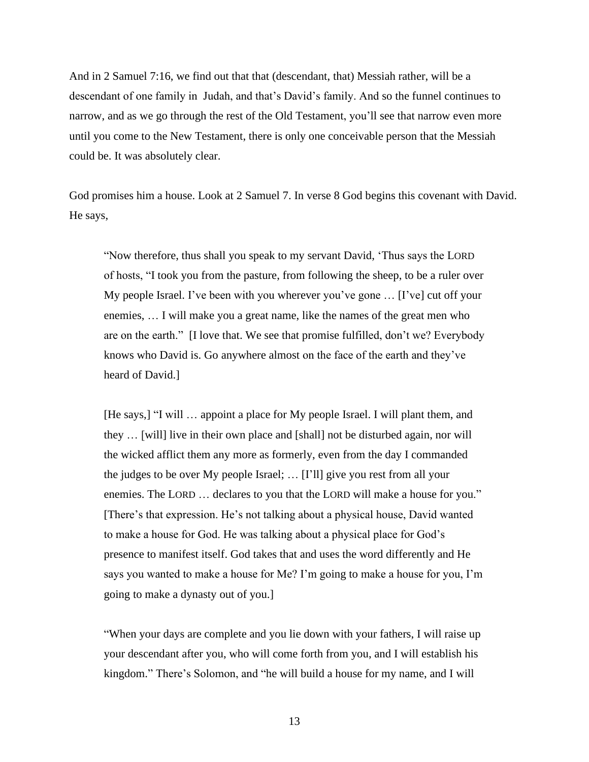And in 2 Samuel 7:16, we find out that that (descendant, that) Messiah rather, will be a descendant of one family in Judah, and that's David's family. And so the funnel continues to narrow, and as we go through the rest of the Old Testament, you'll see that narrow even more until you come to the New Testament, there is only one conceivable person that the Messiah could be. It was absolutely clear.

God promises him a house. Look at 2 Samuel 7. In verse 8 God begins this covenant with David. He says,

"Now therefore, thus shall you speak to my servant David, 'Thus says the LORD of hosts, "I took you from the pasture, from following the sheep, to be a ruler over My people Israel. I've been with you wherever you've gone … [I've] cut off your enemies, … I will make you a great name, like the names of the great men who are on the earth." [I love that. We see that promise fulfilled, don't we? Everybody knows who David is. Go anywhere almost on the face of the earth and they've heard of David.]

[He says,] "I will … appoint a place for My people Israel. I will plant them, and they … [will] live in their own place and [shall] not be disturbed again, nor will the wicked afflict them any more as formerly, even from the day I commanded the judges to be over My people Israel; … [I'll] give you rest from all your enemies. The LORD … declares to you that the LORD will make a house for you." [There's that expression. He's not talking about a physical house, David wanted to make a house for God. He was talking about a physical place for God's presence to manifest itself. God takes that and uses the word differently and He says you wanted to make a house for Me? I'm going to make a house for you, I'm going to make a dynasty out of you.]

"When your days are complete and you lie down with your fathers, I will raise up your descendant after you, who will come forth from you, and I will establish his kingdom." There's Solomon, and "he will build a house for my name, and I will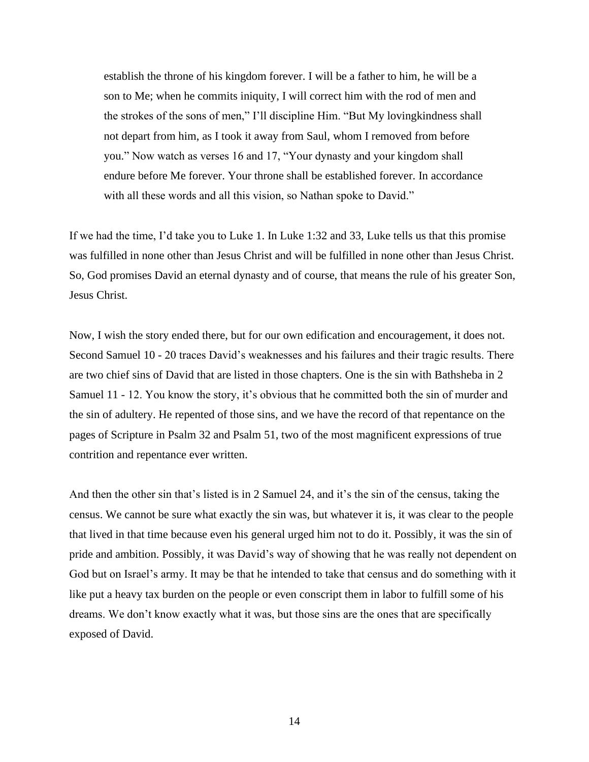establish the throne of his kingdom forever. I will be a father to him, he will be a son to Me; when he commits iniquity, I will correct him with the rod of men and the strokes of the sons of men," I'll discipline Him. "But My lovingkindness shall not depart from him, as I took it away from Saul, whom I removed from before you." Now watch as verses 16 and 17, "Your dynasty and your kingdom shall endure before Me forever. Your throne shall be established forever. In accordance with all these words and all this vision, so Nathan spoke to David."

If we had the time, I'd take you to Luke 1. In Luke 1:32 and 33, Luke tells us that this promise was fulfilled in none other than Jesus Christ and will be fulfilled in none other than Jesus Christ. So, God promises David an eternal dynasty and of course, that means the rule of his greater Son, Jesus Christ.

Now, I wish the story ended there, but for our own edification and encouragement, it does not. Second Samuel 10 - 20 traces David's weaknesses and his failures and their tragic results. There are two chief sins of David that are listed in those chapters. One is the sin with Bathsheba in 2 Samuel 11 - 12. You know the story, it's obvious that he committed both the sin of murder and the sin of adultery. He repented of those sins, and we have the record of that repentance on the pages of Scripture in Psalm 32 and Psalm 51, two of the most magnificent expressions of true contrition and repentance ever written.

And then the other sin that's listed is in 2 Samuel 24, and it's the sin of the census, taking the census. We cannot be sure what exactly the sin was, but whatever it is, it was clear to the people that lived in that time because even his general urged him not to do it. Possibly, it was the sin of pride and ambition. Possibly, it was David's way of showing that he was really not dependent on God but on Israel's army. It may be that he intended to take that census and do something with it like put a heavy tax burden on the people or even conscript them in labor to fulfill some of his dreams. We don't know exactly what it was, but those sins are the ones that are specifically exposed of David.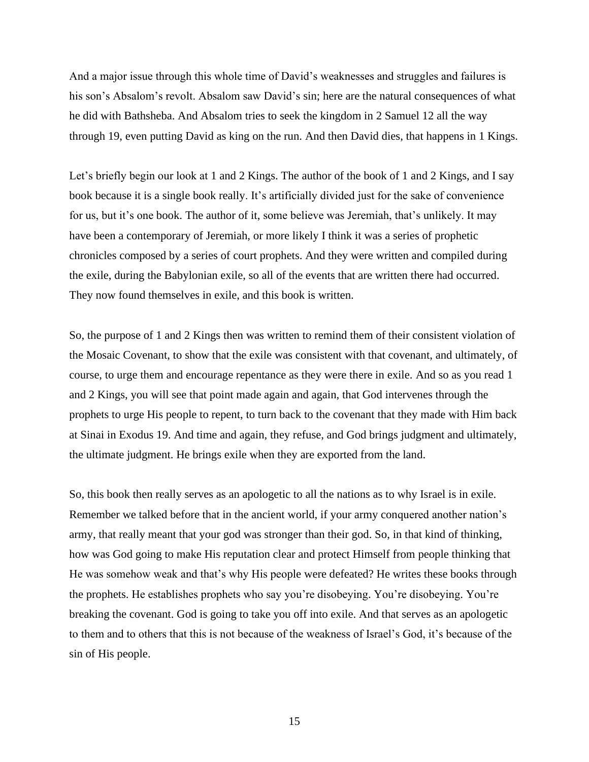And a major issue through this whole time of David's weaknesses and struggles and failures is his son's Absalom's revolt. Absalom saw David's sin; here are the natural consequences of what he did with Bathsheba. And Absalom tries to seek the kingdom in 2 Samuel 12 all the way through 19, even putting David as king on the run. And then David dies, that happens in 1 Kings.

Let's briefly begin our look at 1 and 2 Kings. The author of the book of 1 and 2 Kings, and I say book because it is a single book really. It's artificially divided just for the sake of convenience for us, but it's one book. The author of it, some believe was Jeremiah, that's unlikely. It may have been a contemporary of Jeremiah, or more likely I think it was a series of prophetic chronicles composed by a series of court prophets. And they were written and compiled during the exile, during the Babylonian exile, so all of the events that are written there had occurred. They now found themselves in exile, and this book is written.

So, the purpose of 1 and 2 Kings then was written to remind them of their consistent violation of the Mosaic Covenant, to show that the exile was consistent with that covenant, and ultimately, of course, to urge them and encourage repentance as they were there in exile. And so as you read 1 and 2 Kings, you will see that point made again and again, that God intervenes through the prophets to urge His people to repent, to turn back to the covenant that they made with Him back at Sinai in Exodus 19. And time and again, they refuse, and God brings judgment and ultimately, the ultimate judgment. He brings exile when they are exported from the land.

So, this book then really serves as an apologetic to all the nations as to why Israel is in exile. Remember we talked before that in the ancient world, if your army conquered another nation's army, that really meant that your god was stronger than their god. So, in that kind of thinking, how was God going to make His reputation clear and protect Himself from people thinking that He was somehow weak and that's why His people were defeated? He writes these books through the prophets. He establishes prophets who say you're disobeying. You're disobeying. You're breaking the covenant. God is going to take you off into exile. And that serves as an apologetic to them and to others that this is not because of the weakness of Israel's God, it's because of the sin of His people.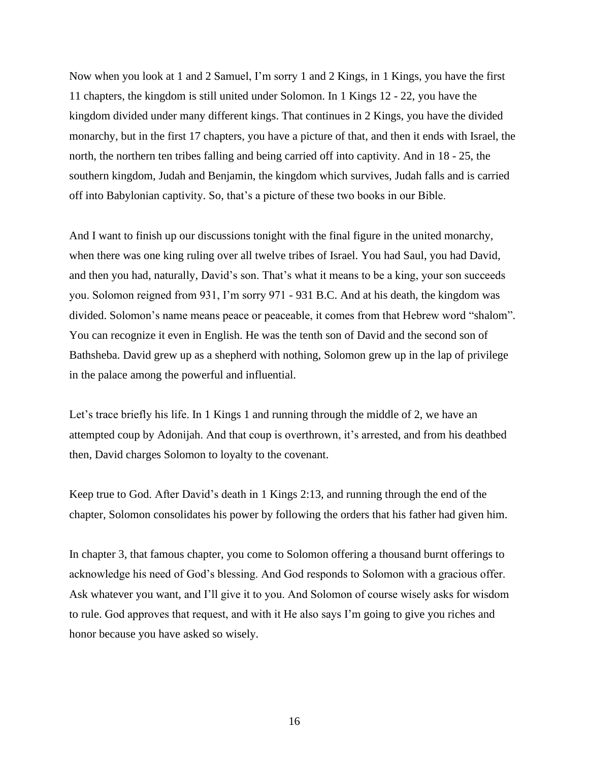Now when you look at 1 and 2 Samuel, I'm sorry 1 and 2 Kings, in 1 Kings, you have the first 11 chapters, the kingdom is still united under Solomon. In 1 Kings 12 - 22, you have the kingdom divided under many different kings. That continues in 2 Kings, you have the divided monarchy, but in the first 17 chapters, you have a picture of that, and then it ends with Israel, the north, the northern ten tribes falling and being carried off into captivity. And in 18 - 25, the southern kingdom, Judah and Benjamin, the kingdom which survives, Judah falls and is carried off into Babylonian captivity. So, that's a picture of these two books in our Bible.

And I want to finish up our discussions tonight with the final figure in the united monarchy, when there was one king ruling over all twelve tribes of Israel. You had Saul, you had David, and then you had, naturally, David's son. That's what it means to be a king, your son succeeds you. Solomon reigned from 931, I'm sorry 971 - 931 B.C. And at his death, the kingdom was divided. Solomon's name means peace or peaceable, it comes from that Hebrew word "shalom". You can recognize it even in English. He was the tenth son of David and the second son of Bathsheba. David grew up as a shepherd with nothing, Solomon grew up in the lap of privilege in the palace among the powerful and influential.

Let's trace briefly his life. In 1 Kings 1 and running through the middle of 2, we have an attempted coup by Adonijah. And that coup is overthrown, it's arrested, and from his deathbed then, David charges Solomon to loyalty to the covenant.

Keep true to God. After David's death in 1 Kings 2:13, and running through the end of the chapter, Solomon consolidates his power by following the orders that his father had given him.

In chapter 3, that famous chapter, you come to Solomon offering a thousand burnt offerings to acknowledge his need of God's blessing. And God responds to Solomon with a gracious offer. Ask whatever you want, and I'll give it to you. And Solomon of course wisely asks for wisdom to rule. God approves that request, and with it He also says I'm going to give you riches and honor because you have asked so wisely.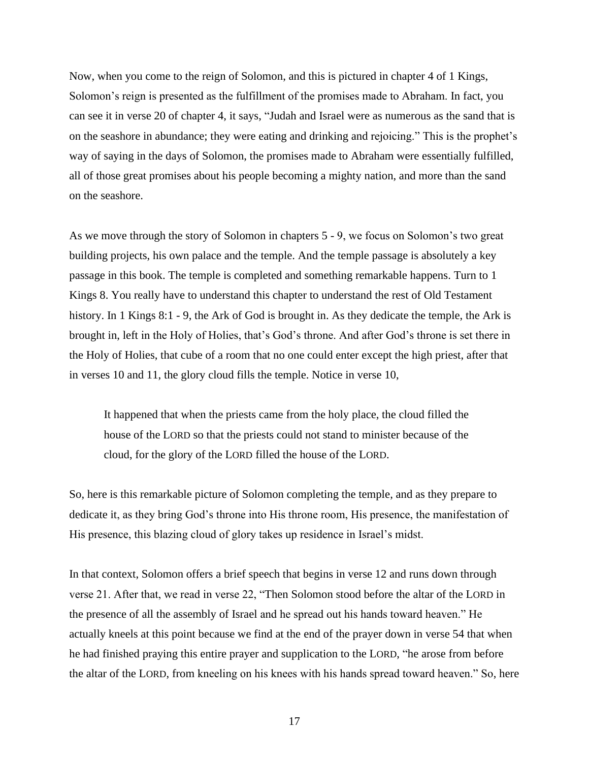Now, when you come to the reign of Solomon, and this is pictured in chapter 4 of 1 Kings, Solomon's reign is presented as the fulfillment of the promises made to Abraham. In fact, you can see it in verse 20 of chapter 4, it says, "Judah and Israel were as numerous as the sand that is on the seashore in abundance; they were eating and drinking and rejoicing." This is the prophet's way of saying in the days of Solomon, the promises made to Abraham were essentially fulfilled, all of those great promises about his people becoming a mighty nation, and more than the sand on the seashore.

As we move through the story of Solomon in chapters 5 - 9, we focus on Solomon's two great building projects, his own palace and the temple. And the temple passage is absolutely a key passage in this book. The temple is completed and something remarkable happens. Turn to 1 Kings 8. You really have to understand this chapter to understand the rest of Old Testament history. In 1 Kings 8:1 - 9, the Ark of God is brought in. As they dedicate the temple, the Ark is brought in, left in the Holy of Holies, that's God's throne. And after God's throne is set there in the Holy of Holies, that cube of a room that no one could enter except the high priest, after that in verses 10 and 11, the glory cloud fills the temple. Notice in verse 10,

It happened that when the priests came from the holy place, the cloud filled the house of the LORD so that the priests could not stand to minister because of the cloud, for the glory of the LORD filled the house of the LORD.

So, here is this remarkable picture of Solomon completing the temple, and as they prepare to dedicate it, as they bring God's throne into His throne room, His presence, the manifestation of His presence, this blazing cloud of glory takes up residence in Israel's midst.

In that context, Solomon offers a brief speech that begins in verse 12 and runs down through verse 21. After that, we read in verse 22, "Then Solomon stood before the altar of the LORD in the presence of all the assembly of Israel and he spread out his hands toward heaven." He actually kneels at this point because we find at the end of the prayer down in verse 54 that when he had finished praying this entire prayer and supplication to the LORD, "he arose from before the altar of the LORD, from kneeling on his knees with his hands spread toward heaven." So, here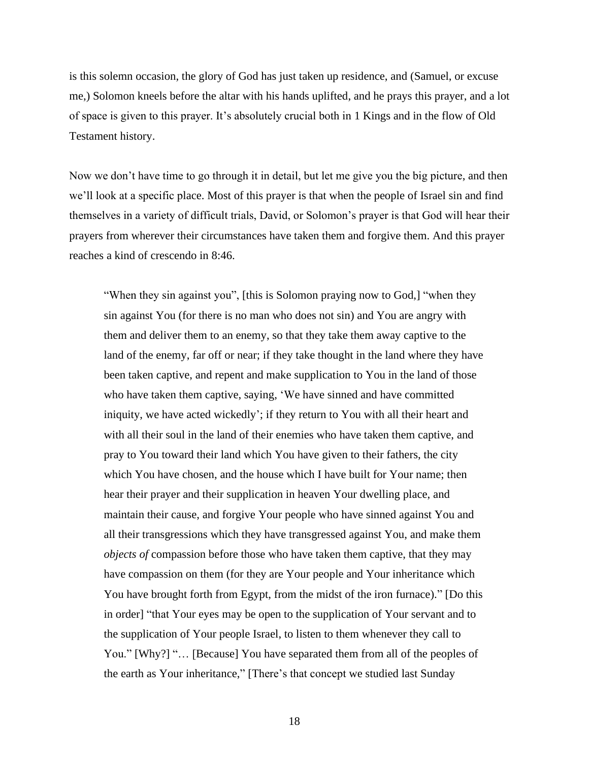is this solemn occasion, the glory of God has just taken up residence, and (Samuel, or excuse me,) Solomon kneels before the altar with his hands uplifted, and he prays this prayer, and a lot of space is given to this prayer. It's absolutely crucial both in 1 Kings and in the flow of Old Testament history.

Now we don't have time to go through it in detail, but let me give you the big picture, and then we'll look at a specific place. Most of this prayer is that when the people of Israel sin and find themselves in a variety of difficult trials, David, or Solomon's prayer is that God will hear their prayers from wherever their circumstances have taken them and forgive them. And this prayer reaches a kind of crescendo in 8:46.

"When they sin against you", [this is Solomon praying now to God,] "when they sin against You (for there is no man who does not sin) and You are angry with them and deliver them to an enemy, so that they take them away captive to the land of the enemy, far off or near; if they take thought in the land where they have been taken captive, and repent and make supplication to You in the land of those who have taken them captive, saying, 'We have sinned and have committed iniquity, we have acted wickedly'; if they return to You with all their heart and with all their soul in the land of their enemies who have taken them captive, and pray to You toward their land which You have given to their fathers, the city which You have chosen, and the house which I have built for Your name; then hear their prayer and their supplication in heaven Your dwelling place, and maintain their cause, and forgive Your people who have sinned against You and all their transgressions which they have transgressed against You, and make them *objects of* compassion before those who have taken them captive, that they may have compassion on them (for they are Your people and Your inheritance which You have brought forth from Egypt, from the midst of the iron furnace)." [Do this in order] "that Your eyes may be open to the supplication of Your servant and to the supplication of Your people Israel, to listen to them whenever they call to You." [Why?] "... [Because] You have separated them from all of the peoples of the earth as Your inheritance," [There's that concept we studied last Sunday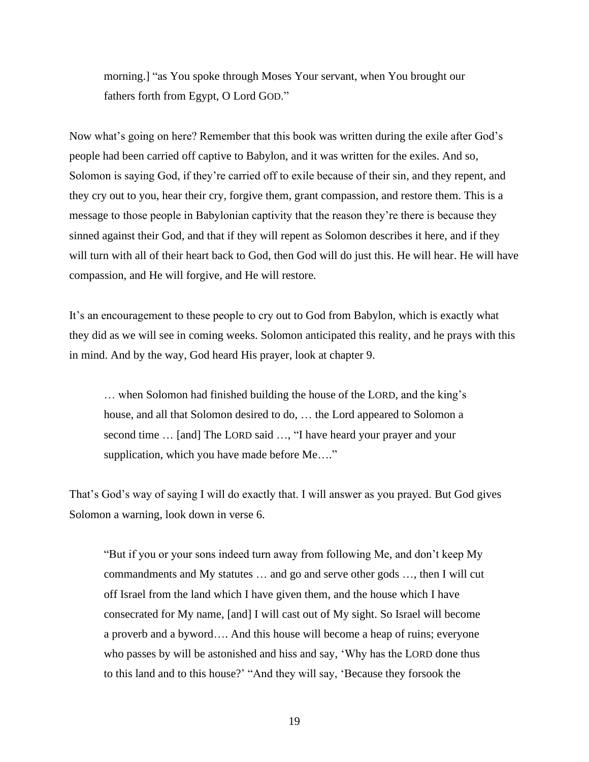morning.] "as You spoke through Moses Your servant, when You brought our fathers forth from Egypt, O Lord GOD."

Now what's going on here? Remember that this book was written during the exile after God's people had been carried off captive to Babylon, and it was written for the exiles. And so, Solomon is saying God, if they're carried off to exile because of their sin, and they repent, and they cry out to you, hear their cry, forgive them, grant compassion, and restore them. This is a message to those people in Babylonian captivity that the reason they're there is because they sinned against their God, and that if they will repent as Solomon describes it here, and if they will turn with all of their heart back to God, then God will do just this. He will hear. He will have compassion, and He will forgive, and He will restore.

It's an encouragement to these people to cry out to God from Babylon, which is exactly what they did as we will see in coming weeks. Solomon anticipated this reality, and he prays with this in mind. And by the way, God heard His prayer, look at chapter 9.

… when Solomon had finished building the house of the LORD, and the king's house, and all that Solomon desired to do, … the Lord appeared to Solomon a second time … [and] The LORD said …, "I have heard your prayer and your supplication, which you have made before Me...."

That's God's way of saying I will do exactly that. I will answer as you prayed. But God gives Solomon a warning, look down in verse 6.

"But if you or your sons indeed turn away from following Me, and don't keep My commandments and My statutes … and go and serve other gods …, then I will cut off Israel from the land which I have given them, and the house which I have consecrated for My name, [and] I will cast out of My sight. So Israel will become a proverb and a byword…. And this house will become a heap of ruins; everyone who passes by will be astonished and hiss and say, 'Why has the LORD done thus to this land and to this house?' "And they will say, 'Because they forsook the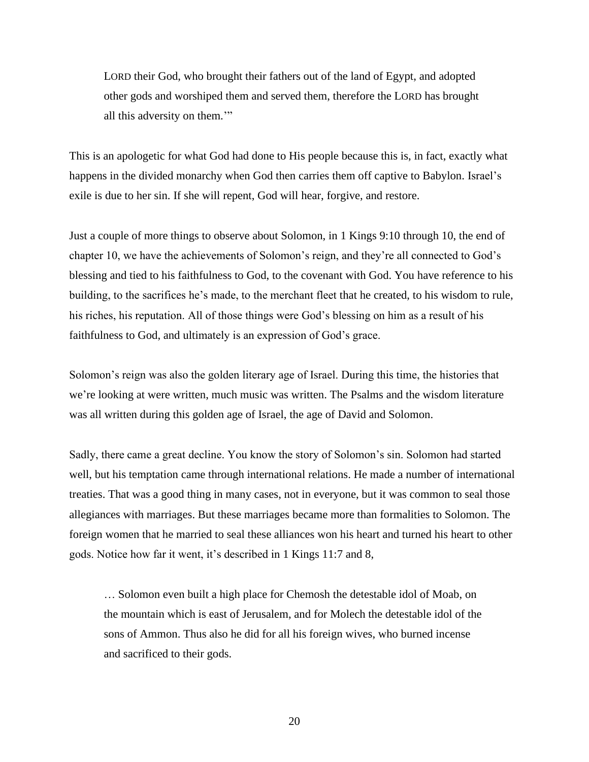LORD their God, who brought their fathers out of the land of Egypt, and adopted other gods and worshiped them and served them, therefore the LORD has brought all this adversity on them.'"

This is an apologetic for what God had done to His people because this is, in fact, exactly what happens in the divided monarchy when God then carries them off captive to Babylon. Israel's exile is due to her sin. If she will repent, God will hear, forgive, and restore.

Just a couple of more things to observe about Solomon, in 1 Kings 9:10 through 10, the end of chapter 10, we have the achievements of Solomon's reign, and they're all connected to God's blessing and tied to his faithfulness to God, to the covenant with God. You have reference to his building, to the sacrifices he's made, to the merchant fleet that he created, to his wisdom to rule, his riches, his reputation. All of those things were God's blessing on him as a result of his faithfulness to God, and ultimately is an expression of God's grace.

Solomon's reign was also the golden literary age of Israel. During this time, the histories that we're looking at were written, much music was written. The Psalms and the wisdom literature was all written during this golden age of Israel, the age of David and Solomon.

Sadly, there came a great decline. You know the story of Solomon's sin. Solomon had started well, but his temptation came through international relations. He made a number of international treaties. That was a good thing in many cases, not in everyone, but it was common to seal those allegiances with marriages. But these marriages became more than formalities to Solomon. The foreign women that he married to seal these alliances won his heart and turned his heart to other gods. Notice how far it went, it's described in 1 Kings 11:7 and 8,

… Solomon even built a high place for Chemosh the detestable idol of Moab, on the mountain which is east of Jerusalem, and for Molech the detestable idol of the sons of Ammon. Thus also he did for all his foreign wives, who burned incense and sacrificed to their gods.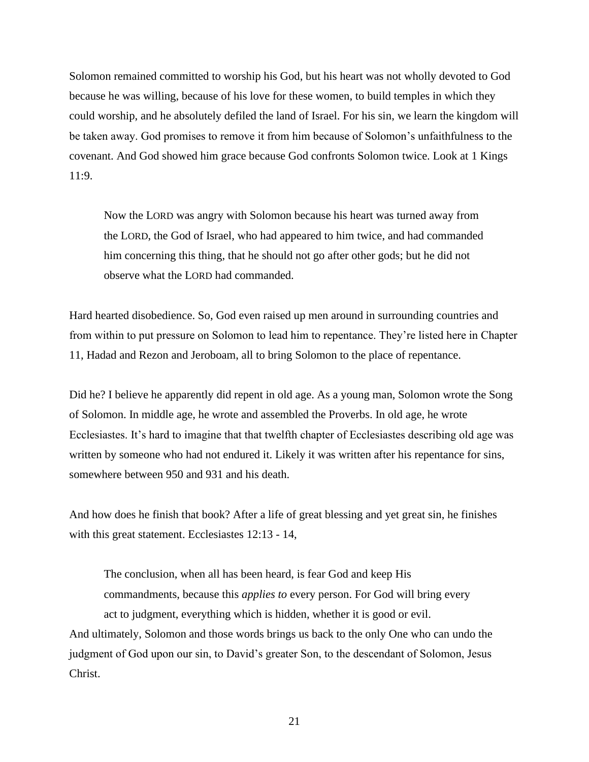Solomon remained committed to worship his God, but his heart was not wholly devoted to God because he was willing, because of his love for these women, to build temples in which they could worship, and he absolutely defiled the land of Israel. For his sin, we learn the kingdom will be taken away. God promises to remove it from him because of Solomon's unfaithfulness to the covenant. And God showed him grace because God confronts Solomon twice. Look at 1 Kings 11:9.

Now the LORD was angry with Solomon because his heart was turned away from the LORD, the God of Israel, who had appeared to him twice, and had commanded him concerning this thing, that he should not go after other gods; but he did not observe what the LORD had commanded.

Hard hearted disobedience. So, God even raised up men around in surrounding countries and from within to put pressure on Solomon to lead him to repentance. They're listed here in Chapter 11, Hadad and Rezon and Jeroboam, all to bring Solomon to the place of repentance.

Did he? I believe he apparently did repent in old age. As a young man, Solomon wrote the Song of Solomon. In middle age, he wrote and assembled the Proverbs. In old age, he wrote Ecclesiastes. It's hard to imagine that that twelfth chapter of Ecclesiastes describing old age was written by someone who had not endured it. Likely it was written after his repentance for sins, somewhere between 950 and 931 and his death.

And how does he finish that book? After a life of great blessing and yet great sin, he finishes with this great statement. Ecclesiastes 12:13 - 14,

The conclusion, when all has been heard, is fear God and keep His commandments, because this *applies to* every person. For God will bring every act to judgment, everything which is hidden, whether it is good or evil. And ultimately, Solomon and those words brings us back to the only One who can undo the judgment of God upon our sin, to David's greater Son, to the descendant of Solomon, Jesus Christ.